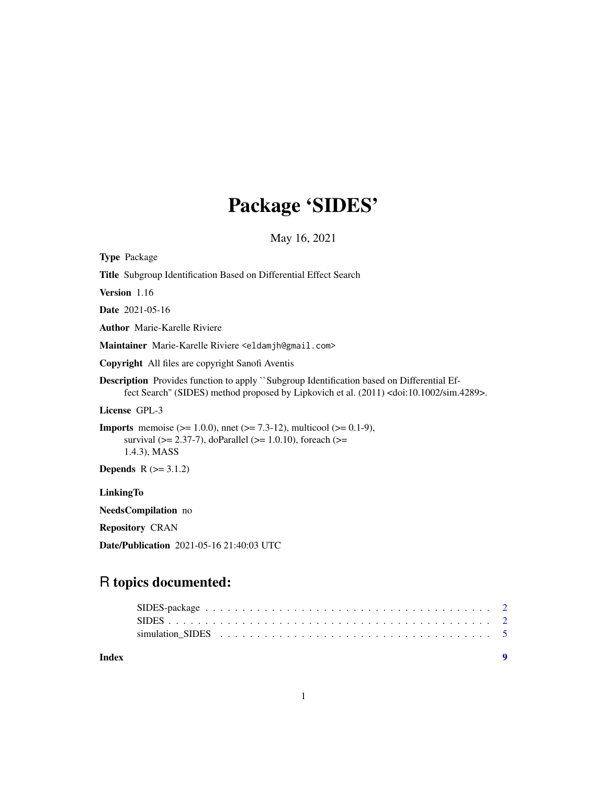# Package 'SIDES'

May 16, 2021

| <b>Type Package</b>                                                                                                                                                                                          |
|--------------------------------------------------------------------------------------------------------------------------------------------------------------------------------------------------------------|
| Title Subgroup Identification Based on Differential Effect Search                                                                                                                                            |
| <b>Version</b> 1.16                                                                                                                                                                                          |
| <b>Date</b> 2021-05-16                                                                                                                                                                                       |
| <b>Author</b> Marie-Karelle Riviere                                                                                                                                                                          |
| Maintainer Marie-Karelle Riviere <eldamjh@gmail.com></eldamjh@gmail.com>                                                                                                                                     |
| <b>Copyright</b> All files are copyright Sanofi Aventis                                                                                                                                                      |
| <b>Description</b> Provides function to apply "Subgroup Identification based on Differential Ef-<br>fect Search" (SIDES) method proposed by Lipkovich et al. (2011) <doi:10.1002 sim.4289="">.</doi:10.1002> |
| License GPL-3                                                                                                                                                                                                |
| <b>Imports</b> memoise ( $> = 1.0.0$ ), nnet ( $> = 7.3-12$ ), multicool ( $> = 0.1-9$ ),<br>survival ( $> = 2.37-7$ ), doParallel ( $> = 1.0.10$ ), foreach ( $> =$<br>1.4.3), MASS                         |
| <b>Depends</b> $R (= 3.1.2)$                                                                                                                                                                                 |
| LinkingTo                                                                                                                                                                                                    |
| NeedsCompilation no                                                                                                                                                                                          |
| <b>Repository CRAN</b>                                                                                                                                                                                       |

Date/Publication 2021-05-16 21:40:03 UTC

## R topics documented:

**Index** [9](#page-8-0)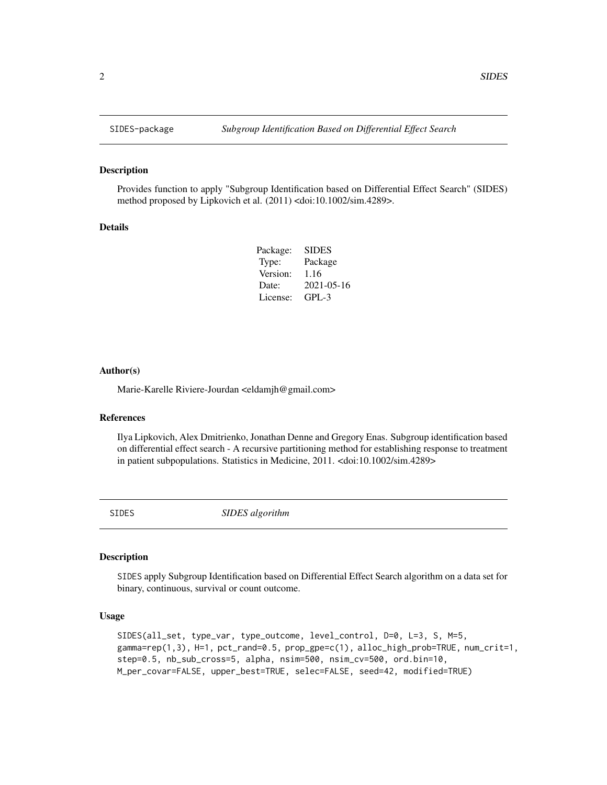#### Description

Provides function to apply "Subgroup Identification based on Differential Effect Search" (SIDES) method proposed by Lipkovich et al. (2011) <doi:10.1002/sim.4289>.

#### Details

| SIDES      |
|------------|
| Package    |
| 1.16       |
| 2021-05-16 |
| $GPI - 3$  |
|            |

#### Author(s)

Marie-Karelle Riviere-Jourdan <eldamjh@gmail.com>

#### References

Ilya Lipkovich, Alex Dmitrienko, Jonathan Denne and Gregory Enas. Subgroup identification based on differential effect search - A recursive partitioning method for establishing response to treatment in patient subpopulations. Statistics in Medicine, 2011. <doi:10.1002/sim.4289>

SIDES *SIDES algorithm*

#### Description

SIDES apply Subgroup Identification based on Differential Effect Search algorithm on a data set for binary, continuous, survival or count outcome.

#### Usage

```
SIDES(all_set, type_var, type_outcome, level_control, D=0, L=3, S, M=5,
gamma=rep(1,3), H=1, pct_rand=0.5, prop_gpe=c(1), alloc_high_prob=TRUE, num_crit=1,
step=0.5, nb_sub_cross=5, alpha, nsim=500, nsim_cv=500, ord.bin=10,
M_per_covar=FALSE, upper_best=TRUE, selec=FALSE, seed=42, modified=TRUE)
```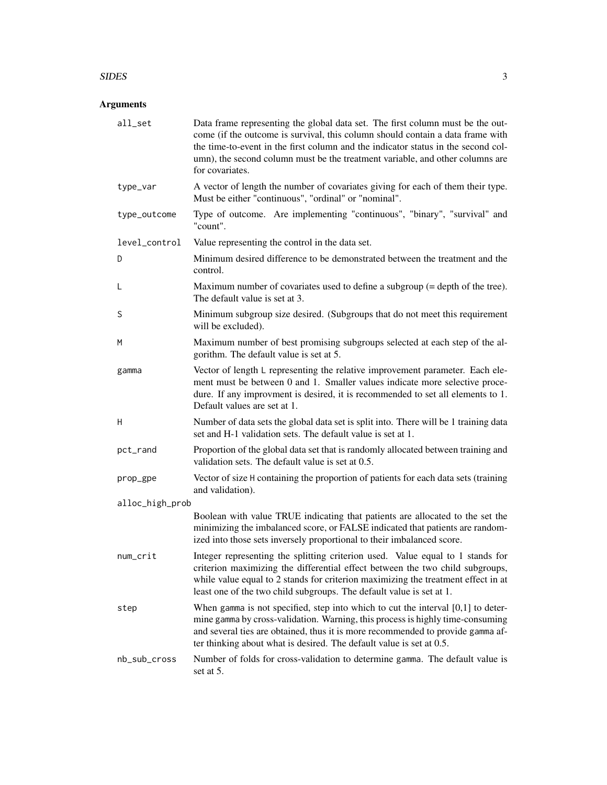#### $SIDES$  3

### Arguments

| all_set         | Data frame representing the global data set. The first column must be the out-<br>come (if the outcome is survival, this column should contain a data frame with<br>the time-to-event in the first column and the indicator status in the second col-<br>umn), the second column must be the treatment variable, and other columns are<br>for covariates. |
|-----------------|-----------------------------------------------------------------------------------------------------------------------------------------------------------------------------------------------------------------------------------------------------------------------------------------------------------------------------------------------------------|
| type_var        | A vector of length the number of covariates giving for each of them their type.<br>Must be either "continuous", "ordinal" or "nominal".                                                                                                                                                                                                                   |
| type_outcome    | Type of outcome. Are implementing "continuous", "binary", "survival" and<br>"count".                                                                                                                                                                                                                                                                      |
| level_control   | Value representing the control in the data set.                                                                                                                                                                                                                                                                                                           |
| D               | Minimum desired difference to be demonstrated between the treatment and the<br>control.                                                                                                                                                                                                                                                                   |
| L               | Maximum number of covariates used to define a subgroup $(=$ depth of the tree).<br>The default value is set at 3.                                                                                                                                                                                                                                         |
| S               | Minimum subgroup size desired. (Subgroups that do not meet this requirement<br>will be excluded).                                                                                                                                                                                                                                                         |
| M               | Maximum number of best promising subgroups selected at each step of the al-<br>gorithm. The default value is set at 5.                                                                                                                                                                                                                                    |
| gamma           | Vector of length L representing the relative improvement parameter. Each ele-<br>ment must be between 0 and 1. Smaller values indicate more selective proce-<br>dure. If any improvment is desired, it is recommended to set all elements to 1.<br>Default values are set at 1.                                                                           |
| Н               | Number of data sets the global data set is split into. There will be 1 training data<br>set and H-1 validation sets. The default value is set at 1.                                                                                                                                                                                                       |
| pct_rand        | Proportion of the global data set that is randomly allocated between training and<br>validation sets. The default value is set at 0.5.                                                                                                                                                                                                                    |
| prop_gpe        | Vector of size H containing the proportion of patients for each data sets (training<br>and validation).                                                                                                                                                                                                                                                   |
| alloc_high_prob |                                                                                                                                                                                                                                                                                                                                                           |
|                 | Boolean with value TRUE indicating that patients are allocated to the set the<br>minimizing the imbalanced score, or FALSE indicated that patients are random-<br>ized into those sets inversely proportional to their imbalanced score.                                                                                                                  |
| num_crit        | Integer representing the splitting criterion used. Value equal to 1 stands for<br>criterion maximizing the differential effect between the two child subgroups,<br>while value equal to 2 stands for criterion maximizing the treatment effect in at<br>least one of the two child subgroups. The default value is set at 1.                              |
| step            | When gamma is not specified, step into which to cut the interval $[0,1]$ to deter-<br>mine gamma by cross-validation. Warning, this process is highly time-consuming<br>and several ties are obtained, thus it is more recommended to provide gamma af-<br>ter thinking about what is desired. The default value is set at 0.5.                           |
| nb_sub_cross    | Number of folds for cross-validation to determine gamma. The default value is<br>set at 5.                                                                                                                                                                                                                                                                |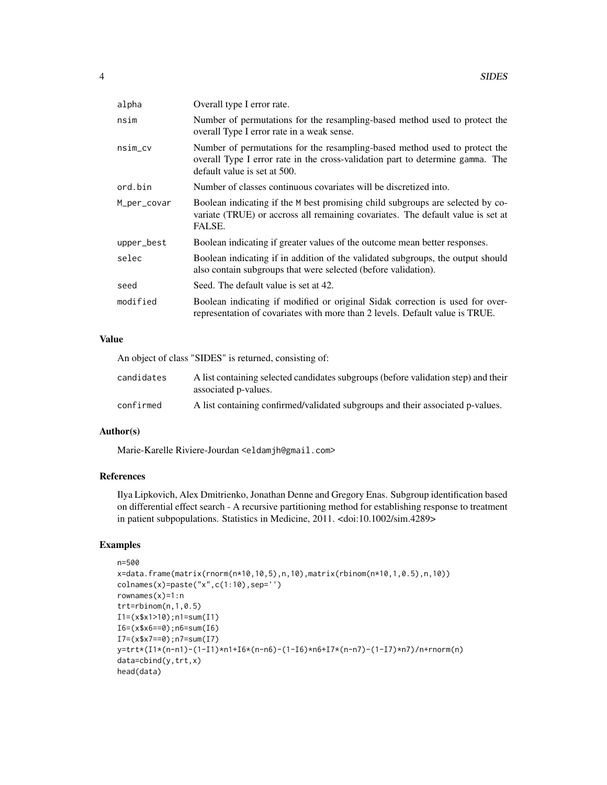| alpha       | Overall type I error rate.                                                                                                                                                                   |
|-------------|----------------------------------------------------------------------------------------------------------------------------------------------------------------------------------------------|
| nsim        | Number of permutations for the resampling-based method used to protect the<br>overall Type I error rate in a weak sense.                                                                     |
| $nsim_c$    | Number of permutations for the resampling-based method used to protect the<br>overall Type I error rate in the cross-validation part to determine gamma. The<br>default value is set at 500. |
| ord.bin     | Number of classes continuous covariates will be discretized into.                                                                                                                            |
| M_per_covar | Boolean indicating if the M best promising child subgroups are selected by co-<br>variate (TRUE) or accross all remaining covariates. The default value is set at<br>FALSE.                  |
| upper_best  | Boolean indicating if greater values of the outcome mean better responses.                                                                                                                   |
| selec       | Boolean indicating if in addition of the validated subgroups, the output should<br>also contain subgroups that were selected (before validation).                                            |
| seed        | Seed. The default value is set at 42.                                                                                                                                                        |
| modified    | Boolean indicating if modified or original Sidak correction is used for over-<br>representation of covariates with more than 2 levels. Default value is TRUE.                                |

#### Value

|            | An object of class "SIDES" is returned, consisting of:                                                     |
|------------|------------------------------------------------------------------------------------------------------------|
| candidates | A list containing selected candidates subgroups (before validation step) and their<br>associated p-values. |
| confirmed  | A list containing confirmed/validated subgroups and their associated p-values.                             |

#### Author(s)

Marie-Karelle Riviere-Jourdan <eldamjh@gmail.com>

#### References

Ilya Lipkovich, Alex Dmitrienko, Jonathan Denne and Gregory Enas. Subgroup identification based on differential effect search - A recursive partitioning method for establishing response to treatment in patient subpopulations. Statistics in Medicine, 2011. <doi:10.1002/sim.4289>

### Examples

```
n=500
x=data.frame(matrix(rnorm(n*10,10,5),n,10),matrix(rbinom(n*10,1,0.5),n,10))
colnames(x)=paste("x",c(1:10),sep='')
rownames(x)=1:n
trt = rbinom(n, 1, 0.5)I1=(x$x1>10);n1=sum(I1)
I6=(x$x6==0);n6=sum(I6)
I7=(x$x7==0);n7=sum(I7)
y=trt*(I1*(n-n1)-(1-I1)*n1+I6*(n-n6)-(1-I6)*n6+I7*(n-n7)-(1-I7)*n7)/n+rnorm(n)
data=cbind(y,trt,x)
head(data)
```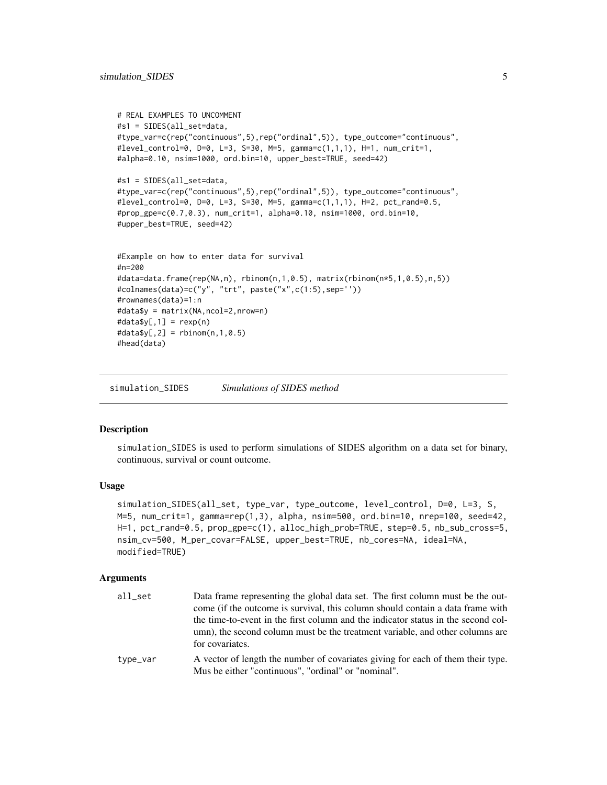```
# REAL EXAMPLES TO UNCOMMENT
#s1 = SIDES(all_set=data,
#type_var=c(rep("continuous",5),rep("ordinal",5)), type_outcome="continuous",
#level_control=0, D=0, L=3, S=30, M=5, gamma=c(1,1,1), H=1, num_crit=1,
#alpha=0.10, nsim=1000, ord.bin=10, upper_best=TRUE, seed=42)
#s1 = SIDES(all_set=data,
#type_var=c(rep("continuous",5),rep("ordinal",5)), type_outcome="continuous",
#level_control=0, D=0, L=3, S=30, M=5, gamma=c(1,1,1), H=2, pct_rand=0.5,
#prop_gpe=c(0.7,0.3), num_crit=1, alpha=0.10, nsim=1000, ord.bin=10,
#upper_best=TRUE, seed=42)
#Example on how to enter data for survival
#n=200
#data=data.frame(rep(NA,n), rbinom(n,1,0.5), matrix(rbinom(n*5,1,0.5),n,5))
#colnames(data)=c("y", "trt", paste("x",c(1:5),sep=''))
#rownames(data)=1:n
#data$y = matrix(NA,ncol=2,nrow=n)
#data$y[,1] = rexp(n)
\#data\{y[,2]} = \text{rbinom}(n,1,0.5)
#head(data)
```
simulation\_SIDES *Simulations of SIDES method*

#### Description

simulation\_SIDES is used to perform simulations of SIDES algorithm on a data set for binary, continuous, survival or count outcome.

#### Usage

```
simulation_SIDES(all_set, type_var, type_outcome, level_control, D=0, L=3, S,
M=5, num_crit=1, gamma=rep(1,3), alpha, nsim=500, ord.bin=10, nrep=100, seed=42,
H=1, pct_rand=0.5, prop_gpe=c(1), alloc_high_prob=TRUE, step=0.5, nb_sub_cross=5,
nsim_cv=500, M_per_covar=FALSE, upper_best=TRUE, nb_cores=NA, ideal=NA,
modified=TRUE)
```
#### Arguments

| all set  | Data frame representing the global data set. The first column must be the out-<br>come (if the outcome is survival, this column should contain a data frame with                      |
|----------|---------------------------------------------------------------------------------------------------------------------------------------------------------------------------------------|
|          | the time-to-event in the first column and the indicator status in the second col-<br>umn), the second column must be the treatment variable, and other columns are<br>for covariates. |
| type_var | A vector of length the number of covariates giving for each of them their type.<br>Mus be either "continuous", "ordinal" or "nominal".                                                |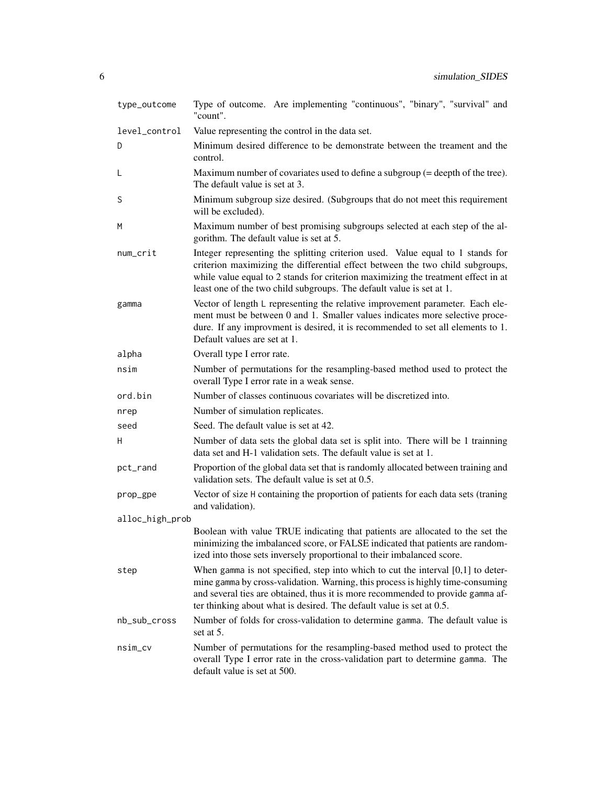| type_outcome    | Type of outcome. Are implementing "continuous", "binary", "survival" and<br>"count".                                                                                                                                                                                                                                            |
|-----------------|---------------------------------------------------------------------------------------------------------------------------------------------------------------------------------------------------------------------------------------------------------------------------------------------------------------------------------|
| level_control   | Value representing the control in the data set.                                                                                                                                                                                                                                                                                 |
| D               | Minimum desired difference to be demonstrate between the treament and the<br>control.                                                                                                                                                                                                                                           |
| L               | Maximum number of covariates used to define a subgroup $(=$ deepth of the tree).<br>The default value is set at 3.                                                                                                                                                                                                              |
| S               | Minimum subgroup size desired. (Subgroups that do not meet this requirement<br>will be excluded).                                                                                                                                                                                                                               |
| M               | Maximum number of best promising subgroups selected at each step of the al-<br>gorithm. The default value is set at 5.                                                                                                                                                                                                          |
| num_crit        | Integer representing the splitting criterion used. Value equal to 1 stands for<br>criterion maximizing the differential effect between the two child subgroups,<br>while value equal to 2 stands for criterion maximizing the treatment effect in at<br>least one of the two child subgroups. The default value is set at 1.    |
| gamma           | Vector of length L representing the relative improvement parameter. Each ele-<br>ment must be between 0 and 1. Smaller values indicates more selective proce-<br>dure. If any improvment is desired, it is recommended to set all elements to 1.<br>Default values are set at 1.                                                |
| alpha           | Overall type I error rate.                                                                                                                                                                                                                                                                                                      |
| nsim            | Number of permutations for the resampling-based method used to protect the<br>overall Type I error rate in a weak sense.                                                                                                                                                                                                        |
| ord.bin         | Number of classes continuous covariates will be discretized into.                                                                                                                                                                                                                                                               |
| nrep            | Number of simulation replicates.                                                                                                                                                                                                                                                                                                |
| seed            | Seed. The default value is set at 42.                                                                                                                                                                                                                                                                                           |
| H               | Number of data sets the global data set is split into. There will be 1 trainning<br>data set and H-1 validation sets. The default value is set at 1.                                                                                                                                                                            |
| pct_rand        | Proportion of the global data set that is randomly allocated between training and<br>validation sets. The default value is set at 0.5.                                                                                                                                                                                          |
| prop_gpe        | Vector of size H containing the proportion of patients for each data sets (traning<br>and validation).                                                                                                                                                                                                                          |
| alloc_high_prob |                                                                                                                                                                                                                                                                                                                                 |
|                 | Boolean with value TRUE indicating that patients are allocated to the set the<br>minimizing the imbalanced score, or FALSE indicated that patients are random-<br>ized into those sets inversely proportional to their imbalanced score.                                                                                        |
| step            | When gamma is not specified, step into which to cut the interval $[0,1]$ to deter-<br>mine gamma by cross-validation. Warning, this process is highly time-consuming<br>and several ties are obtained, thus it is more recommended to provide gamma af-<br>ter thinking about what is desired. The default value is set at 0.5. |
| nb_sub_cross    | Number of folds for cross-validation to determine gamma. The default value is<br>set at 5.                                                                                                                                                                                                                                      |
| nsim_cv         | Number of permutations for the resampling-based method used to protect the<br>overall Type I error rate in the cross-validation part to determine gamma. The<br>default value is set at 500.                                                                                                                                    |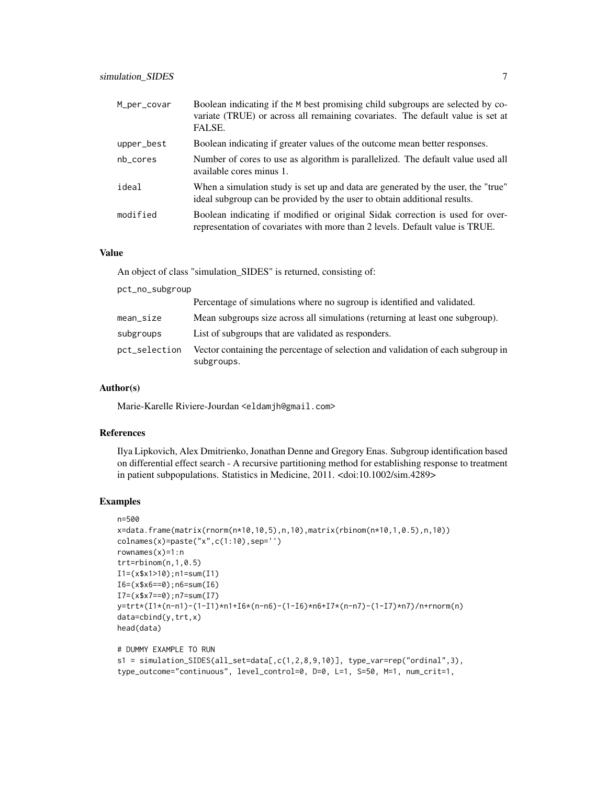| M_per_covar | Boolean indicating if the M best promising child subgroups are selected by co-<br>variate (TRUE) or across all remaining covariates. The default value is set at<br>FALSE. |
|-------------|----------------------------------------------------------------------------------------------------------------------------------------------------------------------------|
| upper_best  | Boolean indicating if greater values of the outcome mean better responses.                                                                                                 |
| nb_cores    | Number of cores to use as algorithm is parallelized. The default value used all<br>available cores minus 1.                                                                |
| ideal       | When a simulation study is set up and data are generated by the user, the "true"<br>ideal subgroup can be provided by the user to obtain additional results.               |
| modified    | Boolean indicating if modified or original Sidak correction is used for over-<br>representation of covariates with more than 2 levels. Default value is TRUE.              |

#### Value

An object of class "simulation\_SIDES" is returned, consisting of:

| pct_no_subgroup |                                                                                                |
|-----------------|------------------------------------------------------------------------------------------------|
|                 | Percentage of simulations where no sugroup is identified and validated.                        |
| $mean_size$     | Mean subgroups size across all simulations (returning at least one subgroup).                  |
| subgroups       | List of subgroups that are validated as responders.                                            |
| pct_selection   | Vector containing the percentage of selection and validation of each subgroup in<br>subgroups. |

#### Author(s)

Marie-Karelle Riviere-Jourdan <eldamjh@gmail.com>

#### References

Ilya Lipkovich, Alex Dmitrienko, Jonathan Denne and Gregory Enas. Subgroup identification based on differential effect search - A recursive partitioning method for establishing response to treatment in patient subpopulations. Statistics in Medicine, 2011. <doi:10.1002/sim.4289>

#### Examples

```
n=500
x=data.frame(matrix(rnorm(n*10,10,5),n,10),matrix(rbinom(n*10,1,0.5),n,10))
colnames(x)=paste("x",c(1:10), sep='')
rownames(x)=1:n
trt=rbinom(n,1,0.5)
I1=(x$x1>10);n1=sum(I1)
I6=(x$x6==0);n6=sum(I6)
I7=(x$x7==0);n7=sum(I7)
y=trt*(I1*(n-n1)-(1-I1)*n1+I6*(n-n6)-(1-I6)*n6+I7*(n-n7)-(1-I7)*n7)/n+rnorm(n)
data=cbind(y,trt,x)
head(data)
# DUMMY EXAMPLE TO RUN
s1 = simulation_SIDES(all_set=data[,c(1,2,8,9,10)], type_var=rep("ordinal",3),
type_outcome="continuous", level_control=0, D=0, L=1, S=50, M=1, num_crit=1,
```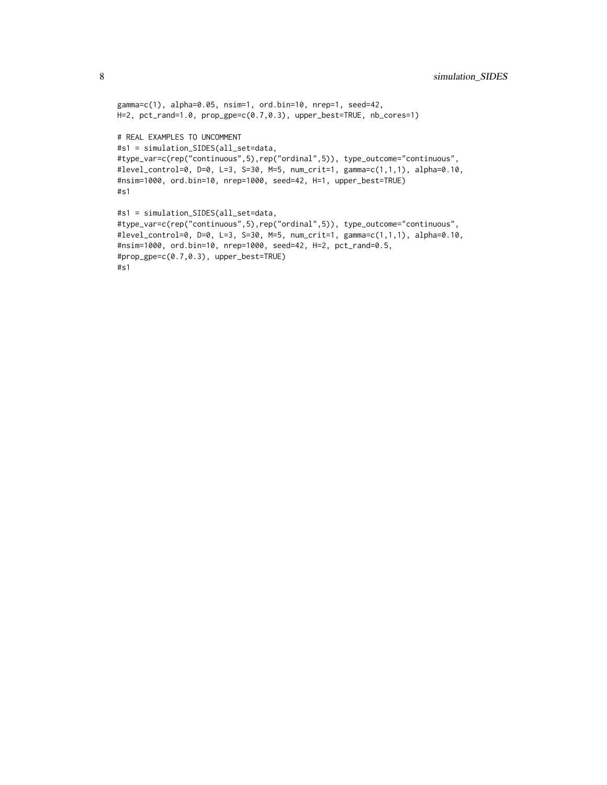```
gamma=c(1), alpha=0.05, nsim=1, ord.bin=10, nrep=1, seed=42,
H=2, pct_rand=1.0, prop_gpe=c(0.7,0.3), upper_best=TRUE, nb_cores=1)
# REAL EXAMPLES TO UNCOMMENT
#s1 = simulation_SIDES(all_set=data,
#type_var=c(rep("continuous",5),rep("ordinal",5)), type_outcome="continuous",
#level_control=0, D=0, L=3, S=30, M=5, num_crit=1, gamma=c(1,1,1), alpha=0.10,
#nsim=1000, ord.bin=10, nrep=1000, seed=42, H=1, upper_best=TRUE)
#s1
#s1 = simulation_SIDES(all_set=data,
#type_var=c(rep("continuous",5),rep("ordinal",5)), type_outcome="continuous",
#level_control=0, D=0, L=3, S=30, M=5, num_crit=1, gamma=c(1,1,1), alpha=0.10,
#nsim=1000, ord.bin=10, nrep=1000, seed=42, H=2, pct_rand=0.5,
#prop_gpe=c(0.7,0.3), upper_best=TRUE)
#s1
```